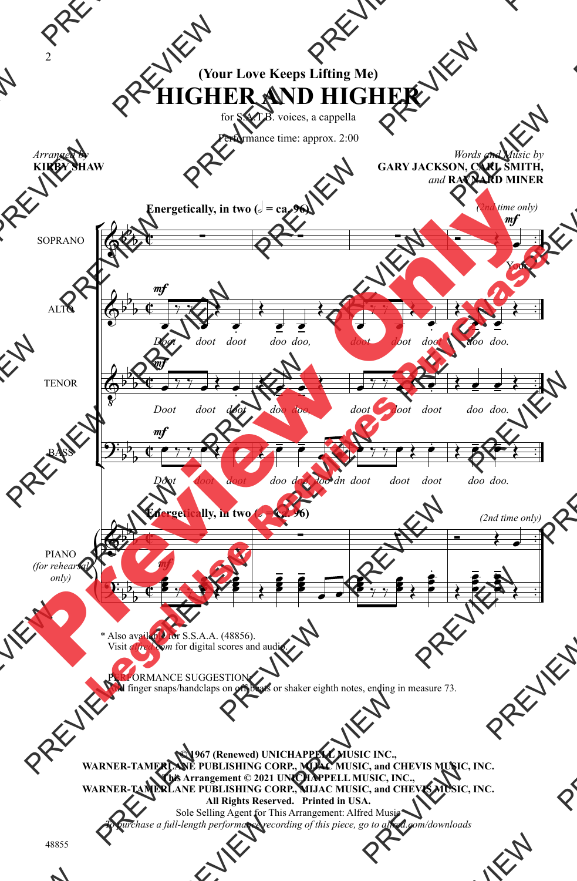## **(Your Love Keeps Lifting Me) HIGHER AND HIGHER**

for S.A.T.B. voices, a cappella

Performance time: approx. 2:00

*Arranged by* **KIRBY SHAW**

*Words and Music by* **GARY JACKSON, CARL SMITH,** *and* **RAYNARD MINER**



 **© 1967 (Renewed) UNICHAPPELL MUSIC INC., WARNER-TAMERLANE PUBLISHING CORP., MIJAC MUSIC, and CHEVIS MUSIC, INC. This Arrangement © 2021 UNICHAPPELL MUSIC, INC., WARNER-TAMERLANE PUBLISHING CORP., MIJAC MUSIC, and CHEVIS MUSIC, INC. All Rights Reserved. Printed in USA.** Sole Selling Agent for This Arrangement: Alfred Music *To purchase a full-length performance recording of this piece, go to alfred.com/downloads*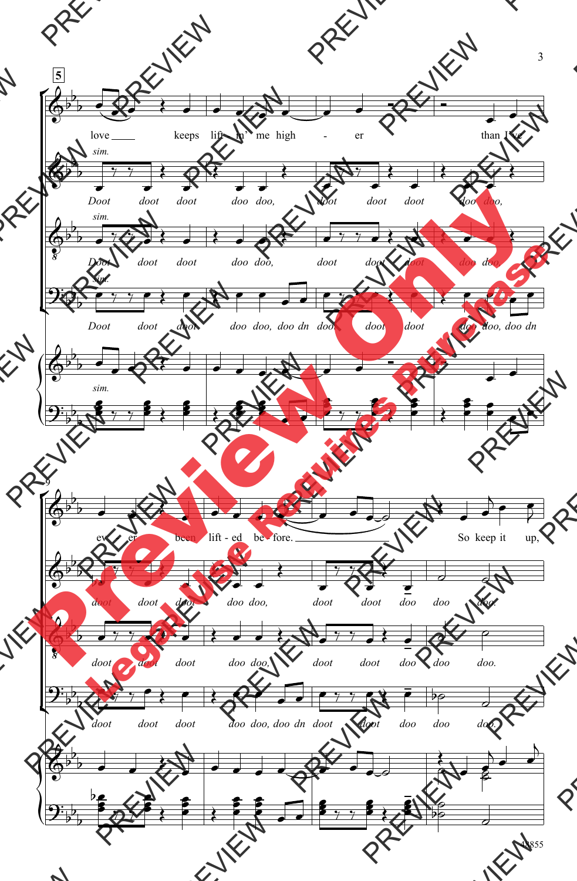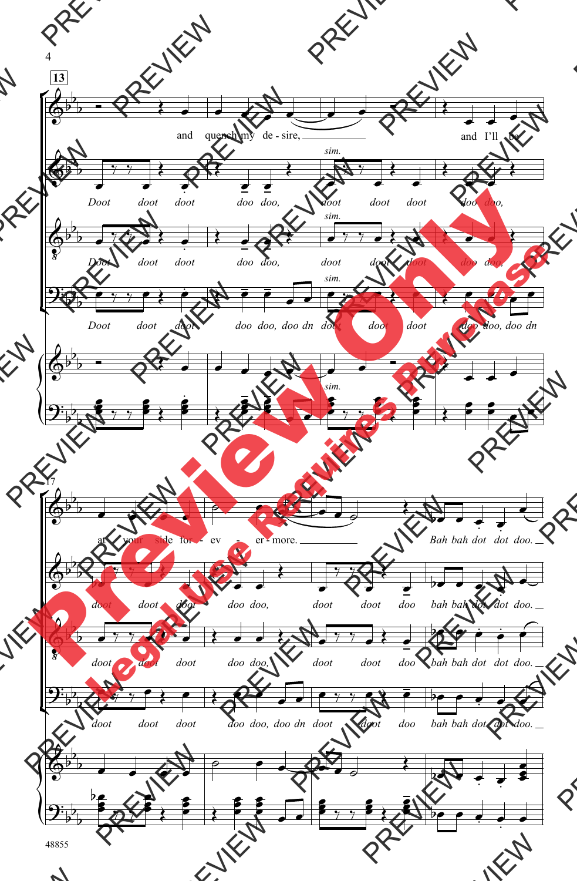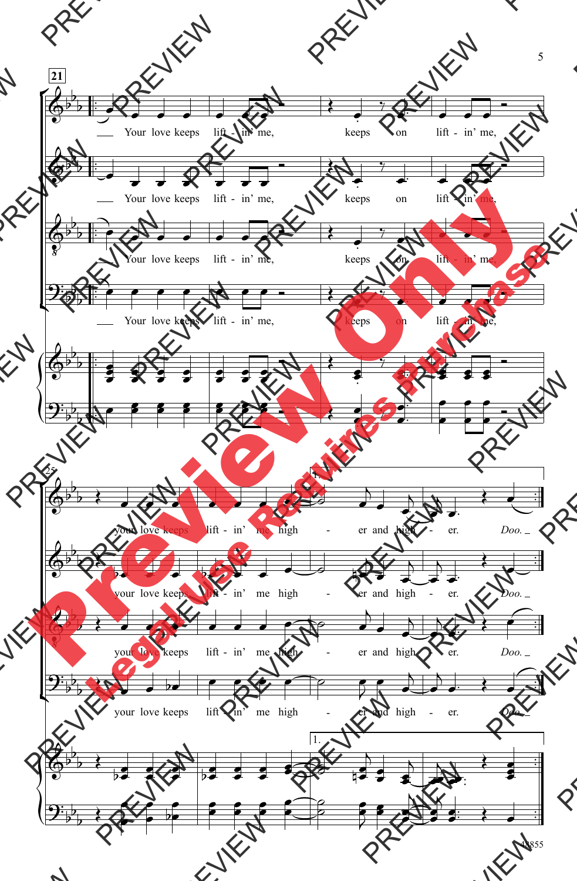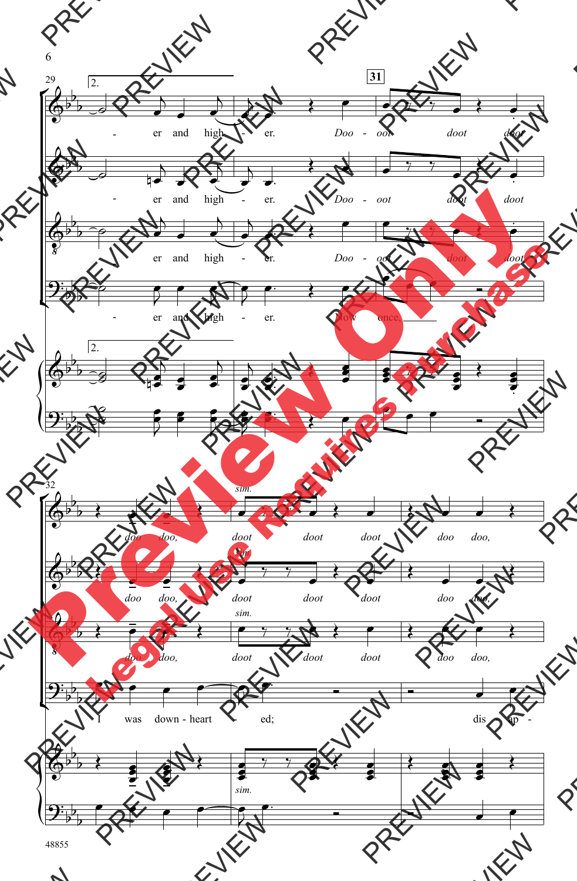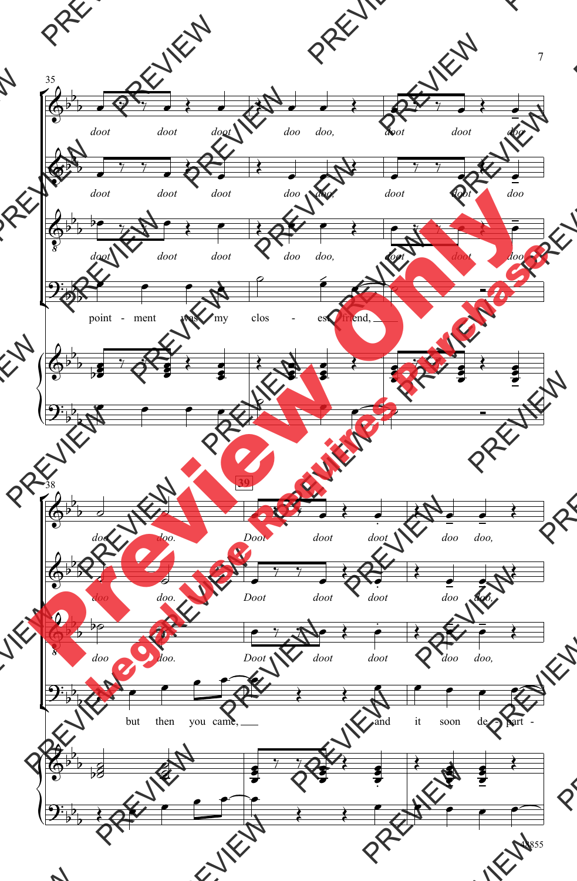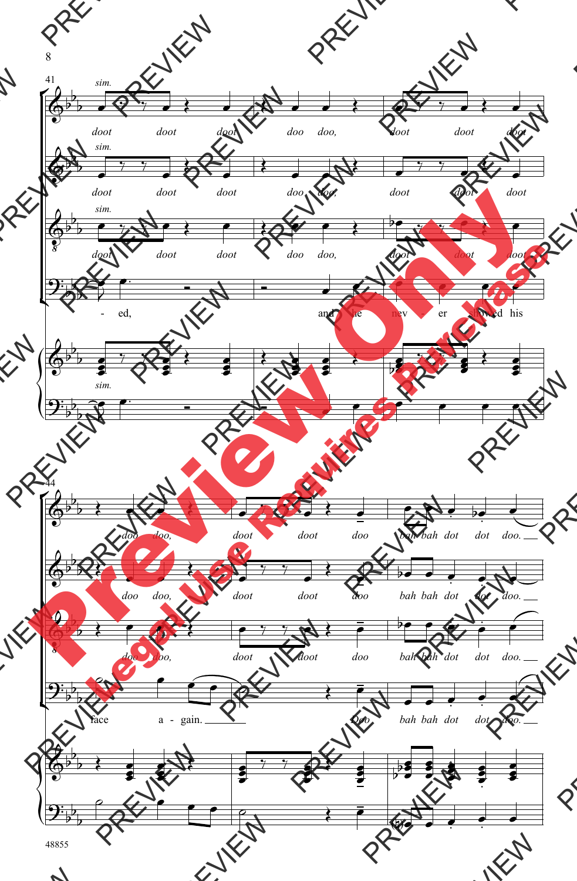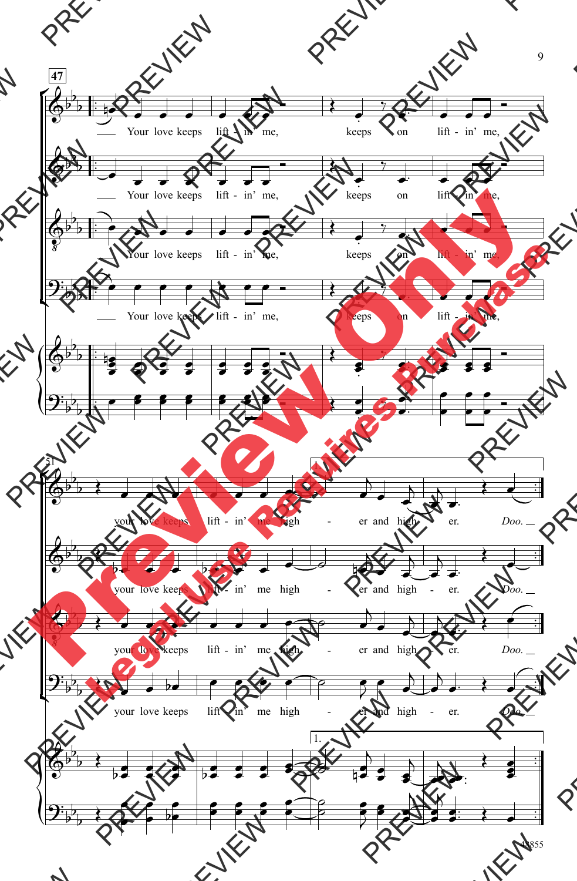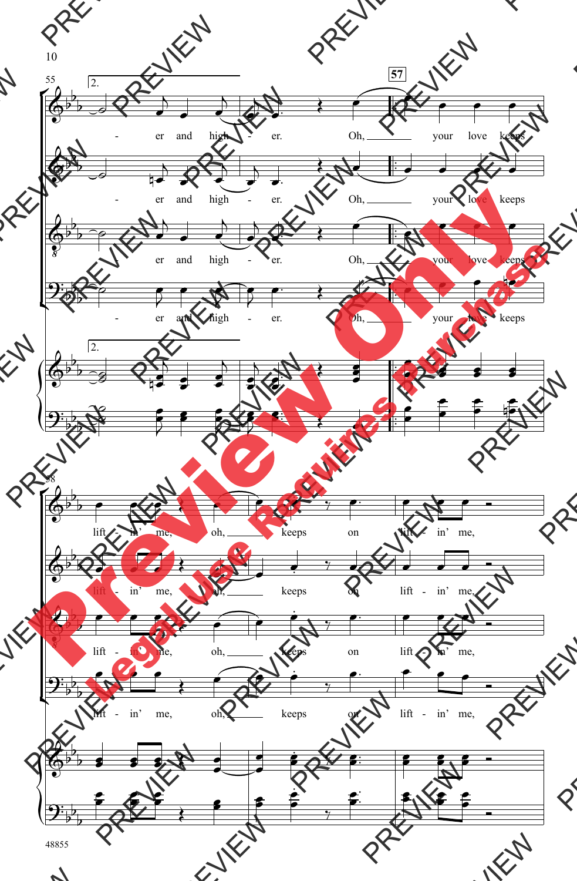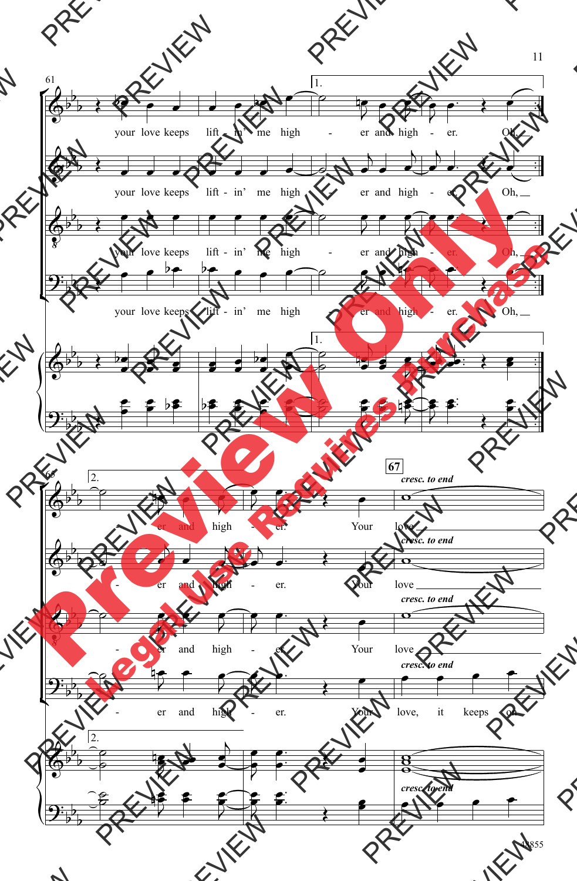